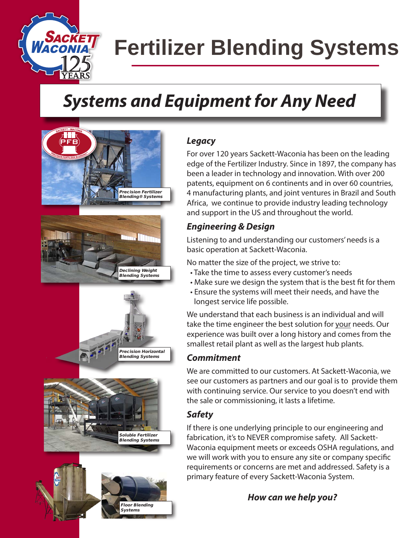

# **Fertilizer Blending Systems**

# *Systems and Equipment for Any Need*



## *Legacy*

For over 120 years Sackett-Waconia has been on the leading edge of the Fertilizer Industry. Since in 1897, the company has been a leader in technology and innovation. With over 200 patents, equipment on 6 continents and in over 60 countries, 4 manufacturing plants, and joint ventures in Brazil and South Africa, we continue to provide industry leading technology and support in the US and throughout the world.

## *Engineering & Design*

Listening to and understanding our customers' needs is a basic operation at Sackett-Waconia.

No matter the size of the project, we strive to:

- Take the time to assess every customer's needs
- Make sure we design the system that is the best fit for them
- Ensure the systems will meet their needs, and have the longest service life possible.

We understand that each business is an individual and will take the time engineer the best solution for your needs. Our experience was built over a long history and comes from the smallest retail plant as well as the largest hub plants.

# *Commitment*

We are committed to our customers. At Sackett-Waconia, we see our customers as partners and our goal is to provide them with continuing service. Our service to you doesn't end with the sale or commissioning, it lasts a lifetime.

# *Safety*

If there is one underlying principle to our engineering and fabrication, it's to NEVER compromise safety. All Sackett-Waconia equipment meets or exceeds OSHA regulations, and we will work with you to ensure any site or company specific requirements or concerns are met and addressed. Safety is a primary feature of every Sackett-Waconia System.

*How can we help you?*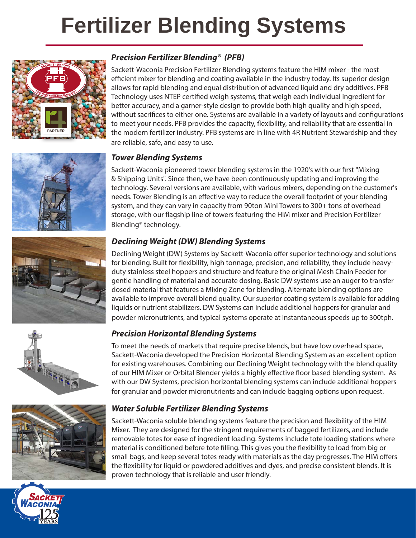# **Fertilizer Blending Systems**











### *Precision Fertilizer Blending® (PFB)*

Sackett-Waconia Precision Fertilizer Blending systems feature the HIM mixer - the most efficient mixer for blending and coating available in the industry today. Its superior design allows for rapid blending and equal distribution of advanced liquid and dry additives. PFB Technology uses NTEP certified weigh systems, that weigh each individual ingredient for better accuracy, and a garner-style design to provide both high quality and high speed, without sacrifices to either one. Systems are available in a variety of layouts and configurations to meet your needs. PFB provides the capacity, flexibility, and reliability that are essential in the modern fertilizer industry. PFB systems are in line with 4R Nutrient Stewardship and they are reliable, safe, and easy to use.

#### *Tower Blending Systems*

Sackett-Waconia pioneered tower blending systems in the 1920's with our first "Mixing & Shipping Units". Since then, we have been continuously updating and improving the technology. Several versions are available, with various mixers, depending on the customer's needs. Tower Blending is an effective way to reduce the overall footprint of your blending system, and they can vary in capacity from 90ton Mini Towers to 300+ tons of overhead storage, with our flagship line of towers featuring the HIM mixer and Precision Fertilizer Blending® technology.

### *Declining Weight (DW) Blending Systems*

Declining Weight (DW) Systems by Sackett-Waconia offer superior technology and solutions for blending. Built for flexibility, high tonnage, precision, and reliability, they include heavyduty stainless steel hoppers and structure and feature the original Mesh Chain Feeder for gentle handling of material and accurate dosing. Basic DW systems use an auger to transfer dosed material that features a Mixing Zone for blending. Alternate blending options are available to improve overall blend quality. Our superior coating system is available for adding liquids or nutrient stabilizers. DW Systems can include additional hoppers for granular and powder micronutrients, and typical systems operate at instantaneous speeds up to 300tph.

### *Precision Horizontal Blending Systems*

To meet the needs of markets that require precise blends, but have low overhead space, Sackett-Waconia developed the Precision Horizontal Blending System as an excellent option for existing warehouses. Combining our Declining Weight technology with the blend quality of our HIM Mixer or Orbital Blender yields a highly effective floor based blending system. As with our DW Systems, precision horizontal blending systems can include additional hoppers for granular and powder micronutrients and can include bagging options upon request.

### *Water Soluble Fertilizer Blending Systems*

Sackett-Waconia soluble blending systems feature the precision and flexibility of the HIM Mixer. They are designed for the stringent requirements of bagged fertilizers, and include removable totes for ease of ingredient loading. Systems include tote loading stations where material is conditioned before tote filling. This gives you the flexibility to load from big or small bags, and keep several totes ready with materials as the day progresses. The HIM offers the flexibility for liquid or powdered additives and dyes, and precise consistent blends. It is proven technology that is reliable and user friendly.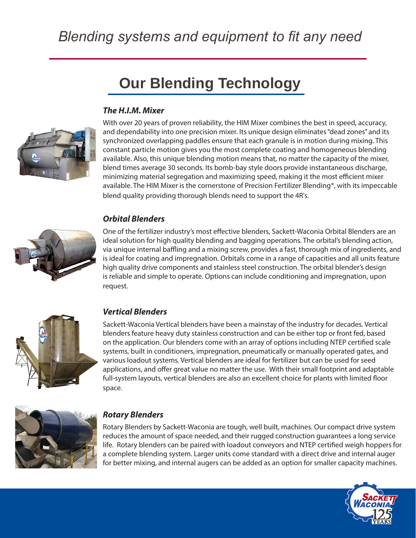# *Blending systems and equipment to fit any need*

# **Our Blending Technology**

### *The H.I.M. Mixer*



With over 20 years of proven reliability, the HIM Mixer combines the best in speed, accuracy, and dependability into one precision mixer. Its unique design eliminates "dead zones" and its synchronized overlapping paddles ensure that each granule is in motion during mixing. This constant particle motion gives you the most complete coating and homogeneous blending available. Also, this unique blending motion means that, no matter the capacity of the mixer, blend times average 30 seconds. Its bomb-bay style doors provide instantaneous discharge, minimizing material segregation and maximizing speed, making it the most efficient mixer available. The HIM Mixer is the cornerstone of Precision Fertilizer Blending®, with its impeccable blend quality providing thorough blends need to support the 4R's.

#### *Orbital Blenders*



One of the fertilizer industry's most effective blenders, Sackett-Waconia Orbital Blenders are an ideal solution for high quality blending and bagging operations. The orbital's blending action, via unique internal baffling and a mixing screw, provides a fast, thorough mix of ingredients, and is ideal for coating and impregnation. Orbitals come in a range of capacities and all units feature high quality drive components and stainless steel construction. The orbital blender's design is reliable and simple to operate. Options can include conditioning and impregnation, upon request.



#### *Vertical Blenders*

Sackett-Waconia Vertical blenders have been a mainstay of the industry for decades. Vertical blenders feature heavy duty stainless construction and can be either top or front fed, based on the application. Our blenders come with an array of options including NTEP certified scale systems, built in conditioners, impregnation, pneumatically or manually operated gates, and various loadout systems. Vertical blenders are ideal for fertilizer but can be used for seed applications, and offer great value no matter the use. With their small footprint and adaptable full-system layouts, vertical blenders are also an excellent choice for plants with limited floor space.



#### *Rotary Blenders*

Rotary Blenders by Sackett-Waconia are tough, well built, machines. Our compact drive system reduces the amount of space needed, and their rugged construction guarantees a long service life. Rotary blenders can be paired with loadout conveyors and NTEP certified weigh hoppers for a complete blending system. Larger units come standard with a direct drive and internal auger for better mixing, and internal augers can be added as an option for smaller capacity machines.